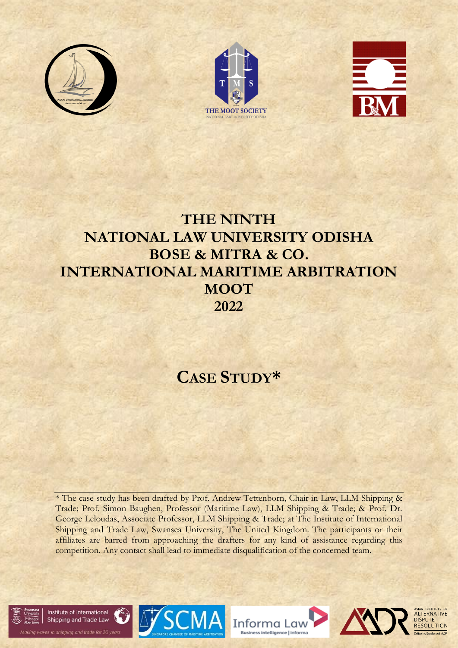





# **THE NINTH NATIONAL LAW UNIVERSITY ODISHA BOSE & MITRA & CO. INTERNATIONAL MARITIME ARBITRATION MOOT 2022**

# **CASE STUDY\***

\* The case study has been drafted by Prof. Andrew Tettenborn, Chair in Law, LLM Shipping & Trade; Prof. Simon Baughen, Professor (Maritime Law), LLM Shipping & Trade; & Prof. Dr. George Leloudas, Associate Professor, LLM Shipping & Trade; at The Institute of International Shipping and Trade Law, Swansea University, The United Kingdom. The participants or their affiliates are barred from approaching the drafters for any kind of assistance regarding this competition. Any contact shall lead to immediate disqualification of the concerned team.











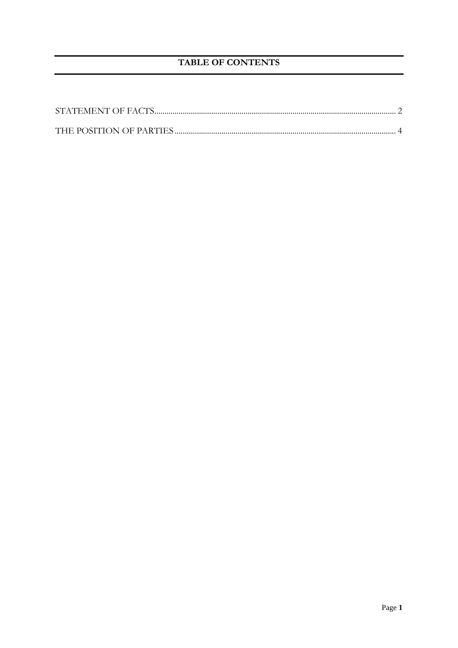# **TABLE OF CONTENTS**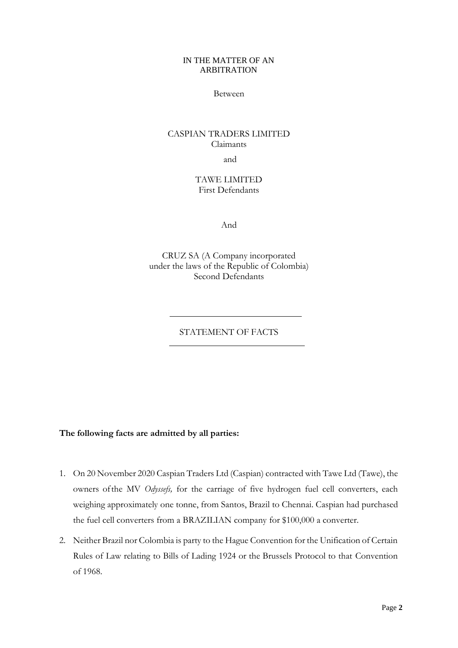#### IN THE MATTER OF AN ARBITRATION

#### Between

# CASPIAN TRADERS LIMITED Claimants

and

# TAWE LIMITED First Defendants

And

CRUZ SA (A Company incorporated under the laws of the Republic of Colombia) Second Defendants

# STATEMENT OF FACTS

#### <span id="page-2-0"></span>**The following facts are admitted by all parties:**

- 1. On 20 November 2020 Caspian Traders Ltd (Caspian) contracted with Tawe Ltd (Tawe), the owners ofthe MV *Odyssefs,* for the carriage of five hydrogen fuel cell converters, each weighing approximately one tonne, from Santos, Brazil to Chennai. Caspian had purchased the fuel cell converters from a BRAZILIAN company for \$100,000 a converter.
- 2. Neither Brazil nor Colombia is party to the Hague Convention for the Unification of Certain Rules of Law relating to Bills of Lading 1924 or the Brussels Protocol to that Convention of 1968.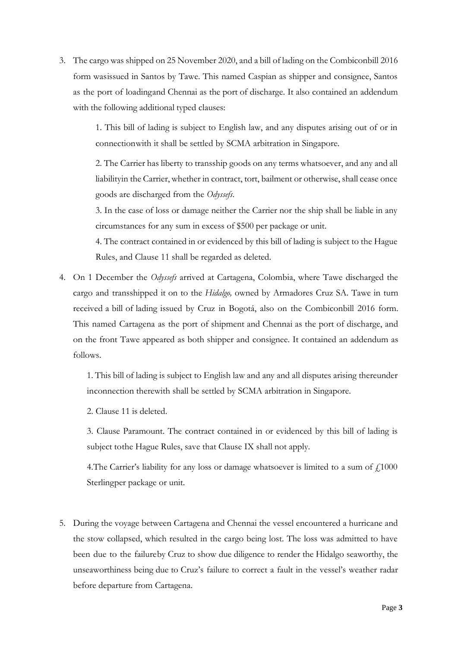3. The cargo was shipped on 25 November 2020, and a bill of lading on the Combiconbill 2016 form wasissued in Santos by Tawe. This named Caspian as shipper and consignee, Santos as the port of loadingand Chennai as the port of discharge. It also contained an addendum with the following additional typed clauses:

> 1. This bill of lading is subject to English law, and any disputes arising out of or in connectionwith it shall be settled by SCMA arbitration in Singapore.

> 2. The Carrier has liberty to transship goods on any terms whatsoever, and any and all liabilityin the Carrier, whether in contract, tort, bailment or otherwise, shall cease once goods are discharged from the *Odyssefs*.

> 3. In the case of loss or damage neither the Carrier nor the ship shall be liable in any circumstances for any sum in excess of \$500 per package or unit.

> 4. The contract contained in or evidenced by this bill of lading is subject to the Hague Rules, and Clause 11 shall be regarded as deleted.

4. On 1 December the *Odyssefs* arrived at Cartagena, Colombia, where Tawe discharged the cargo and transshipped it on to the *Hidalgo,* owned by Armadores Cruz SA. Tawe in turn received a bill of lading issued by Cruz in Bogotá, also on the Combiconbill 2016 form. This named Cartagena as the port of shipment and Chennai as the port of discharge, and on the front Tawe appeared as both shipper and consignee. It contained an addendum as follows.

1. This bill of lading is subject to English law and any and all disputes arising thereunder inconnection therewith shall be settled by SCMA arbitration in Singapore.

2. Clause 11 is deleted.

3. Clause Paramount. The contract contained in or evidenced by this bill of lading is subject tothe Hague Rules, save that Clause IX shall not apply.

4. The Carrier's liability for any loss or damage whatsoever is limited to a sum of  $\ell_{1000}$ Sterlingper package or unit.

5. During the voyage between Cartagena and Chennai the vessel encountered a hurricane and the stow collapsed, which resulted in the cargo being lost. The loss was admitted to have been due to the failureby Cruz to show due diligence to render the Hidalgo seaworthy, the unseaworthiness being due to Cruz's failure to correct a fault in the vessel's weather radar before departure from Cartagena.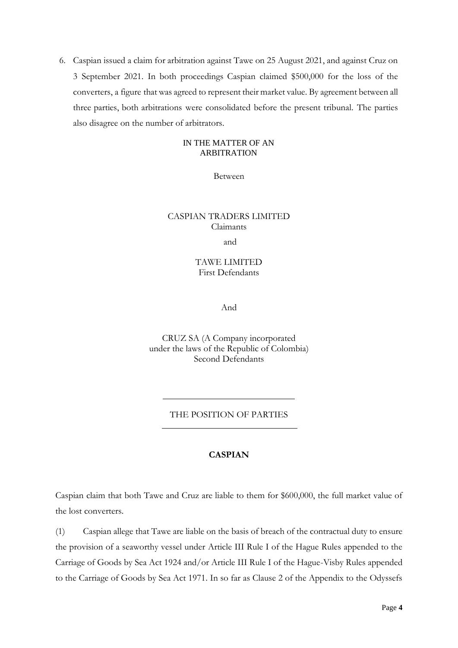6. Caspian issued a claim for arbitration against Tawe on 25 August 2021, and against Cruz on 3 September 2021. In both proceedings Caspian claimed \$500,000 for the loss of the converters, a figure that was agreed to represent their market value. By agreement between all three parties, both arbitrations were consolidated before the present tribunal. The parties also disagree on the number of arbitrators.

#### IN THE MATTER OF AN ARBITRATION

Between

## CASPIAN TRADERS LIMITED Claimants

and

## TAWE LIMITED First Defendants

And

CRUZ SA (A Company incorporated under the laws of the Republic of Colombia) Second Defendants

#### THE POSITION OF PARTIES

#### **CASPIAN**

<span id="page-4-0"></span>Caspian claim that both Tawe and Cruz are liable to them for \$600,000, the full market value of the lost converters.

(1) Caspian allege that Tawe are liable on the basis of breach of the contractual duty to ensure the provision of a seaworthy vessel under Article III Rule I of the Hague Rules appended to the Carriage of Goods by Sea Act 1924 and/or Article III Rule I of the Hague-Visby Rules appended to the Carriage of Goods by Sea Act 1971. In so far as Clause 2 of the Appendix to the Odyssefs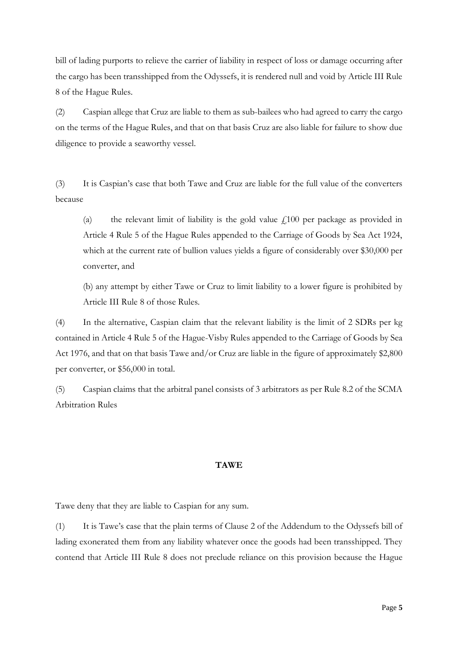bill of lading purports to relieve the carrier of liability in respect of loss or damage occurring after the cargo has been transshipped from the Odyssefs, it is rendered null and void by Article III Rule 8 of the Hague Rules.

(2) Caspian allege that Cruz are liable to them as sub-bailees who had agreed to carry the cargo on the terms of the Hague Rules, and that on that basis Cruz are also liable for failure to show due diligence to provide a seaworthy vessel.

(3) It is Caspian's case that both Tawe and Cruz are liable for the full value of the converters because

(a) the relevant limit of liability is the gold value  $f<sub>i</sub>100$  per package as provided in Article 4 Rule 5 of the Hague Rules appended to the Carriage of Goods by Sea Act 1924, which at the current rate of bullion values yields a figure of considerably over \$30,000 per converter, and

(b) any attempt by either Tawe or Cruz to limit liability to a lower figure is prohibited by Article III Rule 8 of those Rules.

(4) In the alternative, Caspian claim that the relevant liability is the limit of 2 SDRs per kg contained in Article 4 Rule 5 of the Hague-Visby Rules appended to the Carriage of Goods by Sea Act 1976, and that on that basis Tawe and/or Cruz are liable in the figure of approximately \$2,800 per converter, or \$56,000 in total.

(5) Caspian claims that the arbitral panel consists of 3 arbitrators as per Rule 8.2 of the SCMA Arbitration Rules

# **TAWE**

Tawe deny that they are liable to Caspian for any sum.

(1) It is Tawe's case that the plain terms of Clause 2 of the Addendum to the Odyssefs bill of lading exonerated them from any liability whatever once the goods had been transshipped. They contend that Article III Rule 8 does not preclude reliance on this provision because the Hague